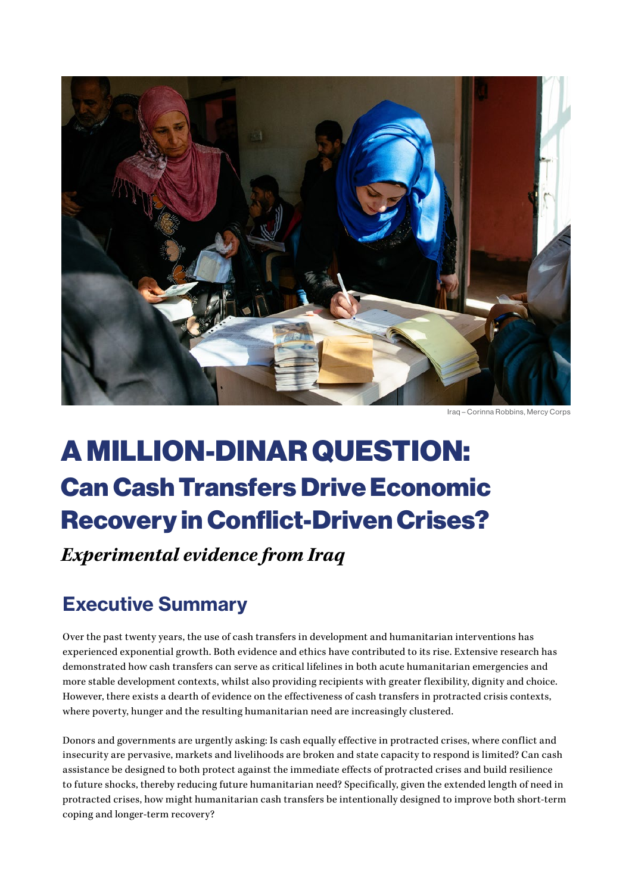

Iraq – Corinna Robbins, Mercy Corps

# A MILLION-DINAR QUESTION: Can Cash Transfers Drive Economic Recovery in Conflict-Driven Crises?

*Experimental evidence from Iraq*

## Executive Summary

Over the past twenty years, the use of cash transfers in development and humanitarian interventions has experienced exponential growth. Both evidence and ethics have contributed to its rise. Extensive research has demonstrated how cash transfers can serve as critical lifelines in both acute humanitarian emergencies and more stable development contexts, whilst also providing recipients with greater flexibility, dignity and choice. However, there exists a dearth of evidence on the effectiveness of cash transfers in protracted crisis contexts, where poverty, hunger and the resulting humanitarian need are increasingly clustered.

Donors and governments are urgently asking: Is cash equally effective in protracted crises, where conflict and insecurity are pervasive, markets and livelihoods are broken and state capacity to respond is limited? Can cash assistance be designed to both protect against the immediate effects of protracted crises and build resilience to future shocks, thereby reducing future humanitarian need? Specifically, given the extended length of need in protracted crises, how might humanitarian cash transfers be intentionally designed to improve both short-term coping and longer-term recovery?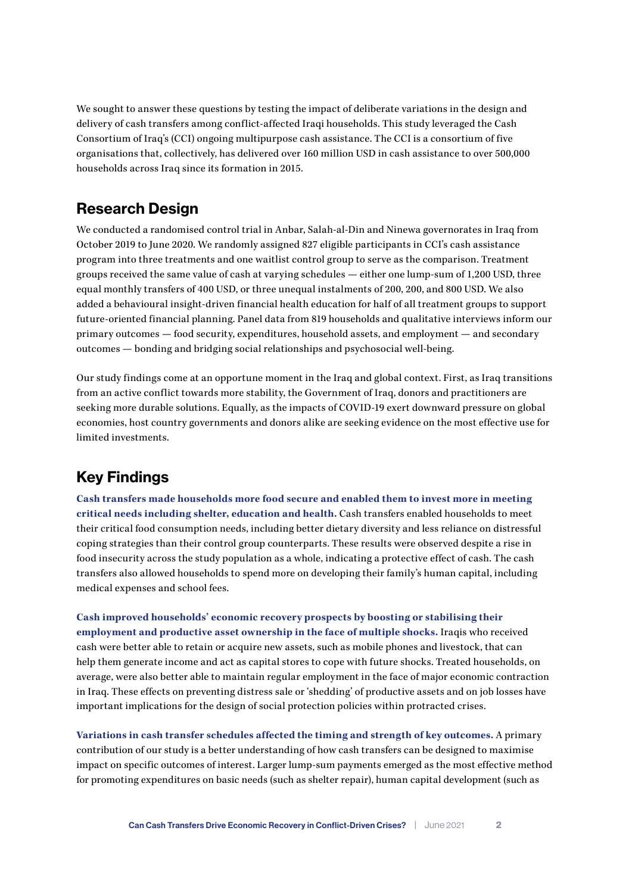We sought to answer these questions by testing the impact of deliberate variations in the design and delivery of cash transfers among conflict-affected Iraqi households. This study leveraged the Cash Consortium of Iraq's (CCI) ongoing multipurpose cash assistance. The CCI is a consortium of five organisations that, collectively, has delivered over 160 million USD in cash assistance to over 500,000 households across Iraq since its formation in 2015.

#### Research Design

We conducted a randomised control trial in Anbar, Salah-al-Din and Ninewa governorates in Iraq from October 2019 to June 2020. We randomly assigned 827 eligible participants in CCI's cash assistance program into three treatments and one waitlist control group to serve as the comparison. Treatment groups received the same value of cash at varying schedules — either one lump-sum of 1,200 USD, three equal monthly transfers of 400 USD, or three unequal instalments of 200, 200, and 800 USD. We also added a behavioural insight-driven financial health education for half of all treatment groups to support future-oriented financial planning. Panel data from 819 households and qualitative interviews inform our primary outcomes — food security, expenditures, household assets, and employment — and secondary outcomes — bonding and bridging social relationships and psychosocial well-being.

Our study findings come at an opportune moment in the Iraq and global context. First, as Iraq transitions from an active conflict towards more stability, the Government of Iraq, donors and practitioners are seeking more durable solutions. Equally, as the impacts of COVID-19 exert downward pressure on global economies, host country governments and donors alike are seeking evidence on the most effective use for limited investments.

## Key Findings

**Cash transfers made households more food secure and enabled them to invest more in meeting critical needs including shelter, education and health.** Cash transfers enabled households to meet their critical food consumption needs, including better dietary diversity and less reliance on distressful coping strategies than their control group counterparts. These results were observed despite a rise in food insecurity across the study population as a whole, indicating a protective effect of cash. The cash transfers also allowed households to spend more on developing their family's human capital, including medical expenses and school fees.

**Cash improved households' economic recovery prospects by boosting or stabilising their employment and productive asset ownership in the face of multiple shocks.** Iraqis who received cash were better able to retain or acquire new assets, such as mobile phones and livestock, that can help them generate income and act as capital stores to cope with future shocks. Treated households, on average, were also better able to maintain regular employment in the face of major economic contraction in Iraq. These effects on preventing distress sale or 'shedding' of productive assets and on job losses have important implications for the design of social protection policies within protracted crises.

**Variations in cash transfer schedules affected the timing and strength of key outcomes.** A primary contribution of our study is a better understanding of how cash transfers can be designed to maximise impact on specific outcomes of interest. Larger lump-sum payments emerged as the most effective method for promoting expenditures on basic needs (such as shelter repair), human capital development (such as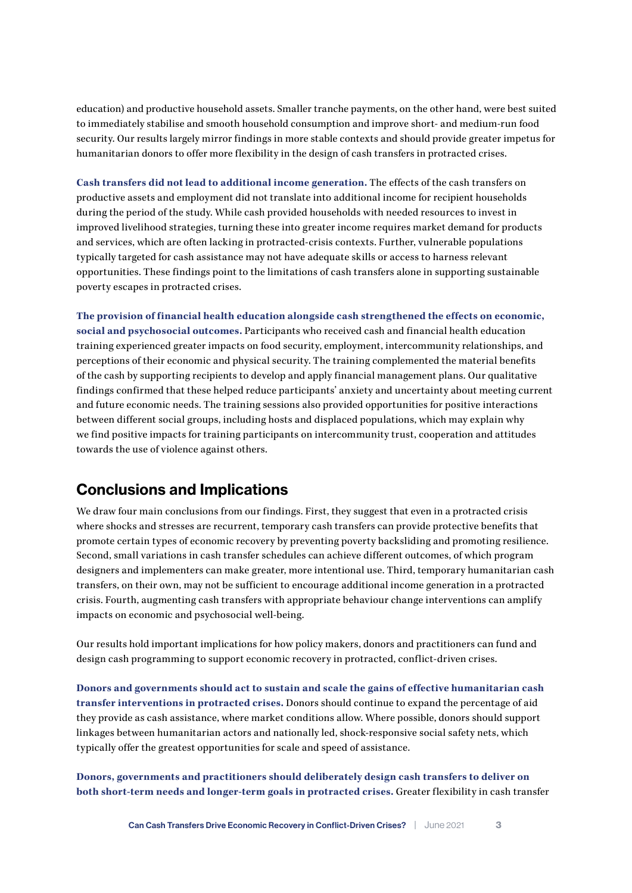education) and productive household assets. Smaller tranche payments, on the other hand, were best suited to immediately stabilise and smooth household consumption and improve short- and medium-run food security. Our results largely mirror findings in more stable contexts and should provide greater impetus for humanitarian donors to offer more flexibility in the design of cash transfers in protracted crises.

**Cash transfers did not lead to additional income generation.** The effects of the cash transfers on productive assets and employment did not translate into additional income for recipient households during the period of the study. While cash provided households with needed resources to invest in improved livelihood strategies, turning these into greater income requires market demand for products and services, which are often lacking in protracted-crisis contexts. Further, vulnerable populations typically targeted for cash assistance may not have adequate skills or access to harness relevant opportunities. These findings point to the limitations of cash transfers alone in supporting sustainable poverty escapes in protracted crises.

**The provision of financial health education alongside cash strengthened the effects on economic, social and psychosocial outcomes.** Participants who received cash and financial health education training experienced greater impacts on food security, employment, intercommunity relationships, and perceptions of their economic and physical security. The training complemented the material benefits of the cash by supporting recipients to develop and apply financial management plans. Our qualitative findings confirmed that these helped reduce participants' anxiety and uncertainty about meeting current and future economic needs. The training sessions also provided opportunities for positive interactions between different social groups, including hosts and displaced populations, which may explain why we find positive impacts for training participants on intercommunity trust, cooperation and attitudes towards the use of violence against others.

### Conclusions and Implications

We draw four main conclusions from our findings. First, they suggest that even in a protracted crisis where shocks and stresses are recurrent, temporary cash transfers can provide protective benefits that promote certain types of economic recovery by preventing poverty backsliding and promoting resilience. Second, small variations in cash transfer schedules can achieve different outcomes, of which program designers and implementers can make greater, more intentional use. Third, temporary humanitarian cash transfers, on their own, may not be sufficient to encourage additional income generation in a protracted crisis. Fourth, augmenting cash transfers with appropriate behaviour change interventions can amplify impacts on economic and psychosocial well-being.

Our results hold important implications for how policy makers, donors and practitioners can fund and design cash programming to support economic recovery in protracted, conflict-driven crises.

**Donors and governments should act to sustain and scale the gains of effective humanitarian cash transfer interventions in protracted crises.** Donors should continue to expand the percentage of aid they provide as cash assistance, where market conditions allow. Where possible, donors should support linkages between humanitarian actors and nationally led, shock-responsive social safety nets, which typically offer the greatest opportunities for scale and speed of assistance.

**Donors, governments and practitioners should deliberately design cash transfers to deliver on both short-term needs and longer-term goals in protracted crises.** Greater flexibility in cash transfer